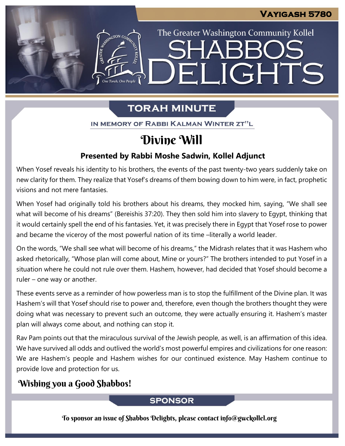The Greater Washington Community Kollel

ELIGHTS

# **TORAH MINUTE**

IN MEMORY OF RABBI KALMAN WINTER ZT"L

# Divine Will

## **Presented by Rabbi Moshe Sadwin, Kollel Adjunct**

When Yosef reveals his identity to his brothers, the events of the past twenty-two years suddenly take on new clarity for them. They realize that Yosef's dreams of them bowing down to him were, in fact, prophetic visions and not mere fantasies.

When Yosef had originally told his brothers about his dreams, they mocked him, saying, "We shall see what will become of his dreams" (Bereishis 37:20). They then sold him into slavery to Egypt, thinking that it would certainly spell the end of his fantasies. Yet, it was precisely there in Egypt that Yosef rose to power and became the viceroy of the most powerful nation of its time –literally a world leader.

On the words, "We shall see what will become of his dreams," the Midrash relates that it was Hashem who asked rhetorically, "Whose plan will come about, Mine or yours?" The brothers intended to put Yosef in a situation where he could not rule over them. Hashem, however, had decided that Yosef should become a ruler – one way or another.

These events serve as a reminder of how powerless man is to stop the fulfillment of the Divine plan. It was Hashem's will that Yosef should rise to power and, therefore, even though the brothers thought they were doing what was necessary to prevent such an outcome, they were actually ensuring it. Hashem's master plan will always come about, and nothing can stop it.

Rav Pam points out that the miraculous survival of the Jewish people, as well, is an affirmation of this idea. We have survived all odds and outlived the world's most powerful empires and civilizations for one reason: We are Hashem's people and Hashem wishes for our continued existence. May Hashem continue to provide love and protection for us.

# Wishing you a Good Shabbos!

## **SPONSOR**

To sponsor an issue of Shabbos Delights, please contact info@gwckollel.org